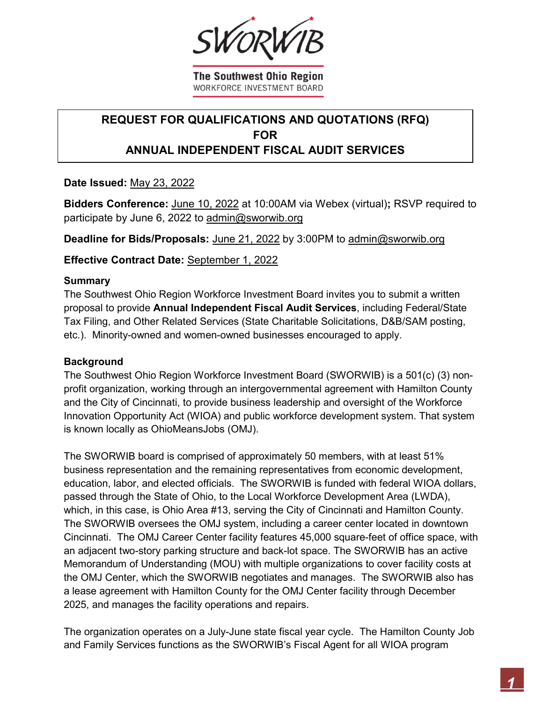The Southwest Ohio Region **WORKFORCE INVESTMENT BOARD** 

# **REQUEST FOR QUALIFICATIONS AND QUOTATIONS (RFQ) FOR ANNUAL INDEPENDENT FISCAL AUDIT SERVICES**

**Date Issued:** May 23, 2022

**Bidders Conference:** June 10, 2022 at 10:00AM via Webex (virtual)**;** RSVP required to participate by June 6, 2022 to admin@sworwib.org

**Deadline for Bids/Proposals:** June 21, 2022 by 3:00PM to admin@sworwib.org

**Effective Contract Date:** September 1, 2022

### **Summary**

The Southwest Ohio Region Workforce Investment Board invites you to submit a written proposal to provide **Annual Independent Fiscal Audit Services**, including Federal/State Tax Filing, and Other Related Services (State Charitable Solicitations, D&B/SAM posting, etc.). Minority-owned and women-owned businesses encouraged to apply.

### **Background**

The Southwest Ohio Region Workforce Investment Board (SWORWIB) is a 501(c) (3) nonprofit organization, working through an intergovernmental agreement with Hamilton County and the City of Cincinnati, to provide business leadership and oversight of the Workforce Innovation Opportunity Act (WIOA) and public workforce development system. That system is known locally as OhioMeansJobs (OMJ).

The SWORWIB board is comprised of approximately 50 members, with at least 51% business representation and the remaining representatives from economic development, education, labor, and elected officials. The SWORWIB is funded with federal WIOA dollars, passed through the State of Ohio, to the Local Workforce Development Area (LWDA), which, in this case, is Ohio Area #13, serving the City of Cincinnati and Hamilton County. The SWORWIB oversees the OMJ system, including a career center located in downtown Cincinnati. The OMJ Career Center facility features 45,000 square-feet of office space, with an adjacent two-story parking structure and back-lot space. The SWORWIB has an active Memorandum of Understanding (MOU) with multiple organizations to cover facility costs at the OMJ Center, which the SWORWIB negotiates and manages. The SWORWIB also has a lease agreement with Hamilton County for the OMJ Center facility through December 2025, and manages the facility operations and repairs.

The organization operates on a July-June state fiscal year cycle. The Hamilton County Job and Family Services functions as the SWORWIB's Fiscal Agent for all WIOA program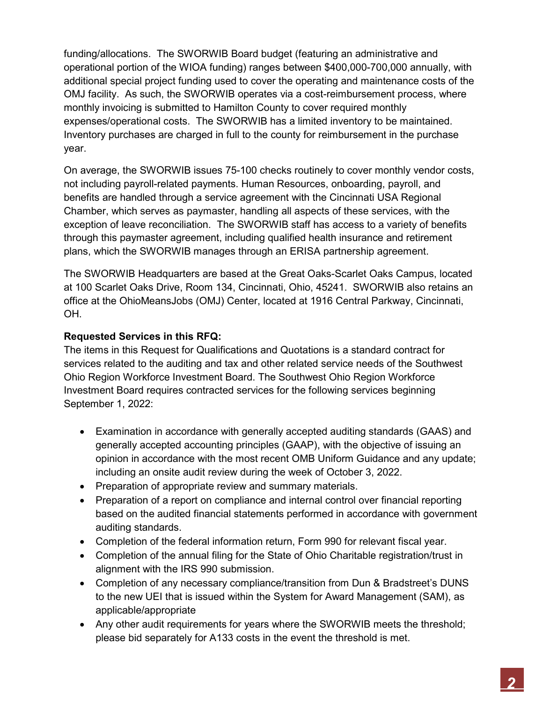funding/allocations. The SWORWIB Board budget (featuring an administrative and operational portion of the WIOA funding) ranges between \$400,000-700,000 annually, with additional special project funding used to cover the operating and maintenance costs of the OMJ facility. As such, the SWORWIB operates via a cost-reimbursement process, where monthly invoicing is submitted to Hamilton County to cover required monthly expenses/operational costs. The SWORWIB has a limited inventory to be maintained. Inventory purchases are charged in full to the county for reimbursement in the purchase year.

On average, the SWORWIB issues 75-100 checks routinely to cover monthly vendor costs, not including payroll-related payments. Human Resources, onboarding, payroll, and benefits are handled through a service agreement with the Cincinnati USA Regional Chamber, which serves as paymaster, handling all aspects of these services, with the exception of leave reconciliation. The SWORWIB staff has access to a variety of benefits through this paymaster agreement, including qualified health insurance and retirement plans, which the SWORWIB manages through an ERISA partnership agreement.

The SWORWIB Headquarters are based at the Great Oaks-Scarlet Oaks Campus, located at 100 Scarlet Oaks Drive, Room 134, Cincinnati, Ohio, 45241. SWORWIB also retains an office at the OhioMeansJobs (OMJ) Center, located at 1916 Central Parkway, Cincinnati, OH.

## **Requested Services in this RFQ:**

The items in this Request for Qualifications and Quotations is a standard contract for services related to the auditing and tax and other related service needs of the Southwest Ohio Region Workforce Investment Board. The Southwest Ohio Region Workforce Investment Board requires contracted services for the following services beginning September 1, 2022:

- Examination in accordance with generally accepted auditing standards (GAAS) and generally accepted accounting principles (GAAP), with the objective of issuing an opinion in accordance with the most recent OMB Uniform Guidance and any update; including an onsite audit review during the week of October 3, 2022.
- Preparation of appropriate review and summary materials.
- Preparation of a report on compliance and internal control over financial reporting based on the audited financial statements performed in accordance with government auditing standards.
- Completion of the federal information return, Form 990 for relevant fiscal year.
- Completion of the annual filing for the State of Ohio Charitable registration/trust in alignment with the IRS 990 submission.
- Completion of any necessary compliance/transition from Dun & Bradstreet's DUNS to the new UEI that is issued within the System for Award Management (SAM), as applicable/appropriate
- Any other audit requirements for years where the SWORWIB meets the threshold; please bid separately for A133 costs in the event the threshold is met.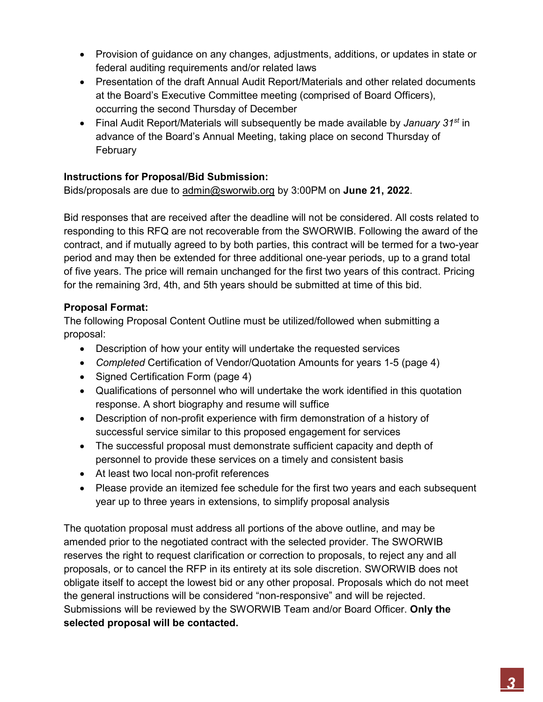- Provision of guidance on any changes, adjustments, additions, or updates in state or federal auditing requirements and/or related laws
- Presentation of the draft Annual Audit Report/Materials and other related documents at the Board's Executive Committee meeting (comprised of Board Officers), occurring the second Thursday of December
- Final Audit Report/Materials will subsequently be made available by *January 31st* in advance of the Board's Annual Meeting, taking place on second Thursday of **February**

# **Instructions for Proposal/Bid Submission:**

Bids/proposals are due to admin@sworwib.org by 3:00PM on **June 21, 2022**.

Bid responses that are received after the deadline will not be considered. All costs related to responding to this RFQ are not recoverable from the SWORWIB. Following the award of the contract, and if mutually agreed to by both parties, this contract will be termed for a two-year period and may then be extended for three additional one-year periods, up to a grand total of five years. The price will remain unchanged for the first two years of this contract. Pricing for the remaining 3rd, 4th, and 5th years should be submitted at time of this bid.

## **Proposal Format:**

The following Proposal Content Outline must be utilized/followed when submitting a proposal:

- Description of how your entity will undertake the requested services
- *Completed* Certification of Vendor/Quotation Amounts for years 1-5 (page 4)
- Signed Certification Form (page 4)
- Qualifications of personnel who will undertake the work identified in this quotation response. A short biography and resume will suffice
- Description of non-profit experience with firm demonstration of a history of successful service similar to this proposed engagement for services
- The successful proposal must demonstrate sufficient capacity and depth of personnel to provide these services on a timely and consistent basis
- At least two local non-profit references
- Please provide an itemized fee schedule for the first two years and each subsequent year up to three years in extensions, to simplify proposal analysis

The quotation proposal must address all portions of the above outline, and may be amended prior to the negotiated contract with the selected provider. The SWORWIB reserves the right to request clarification or correction to proposals, to reject any and all proposals, or to cancel the RFP in its entirety at its sole discretion. SWORWIB does not obligate itself to accept the lowest bid or any other proposal. Proposals which do not meet the general instructions will be considered "non-responsive" and will be rejected. Submissions will be reviewed by the SWORWIB Team and/or Board Officer. **Only the selected proposal will be contacted.**